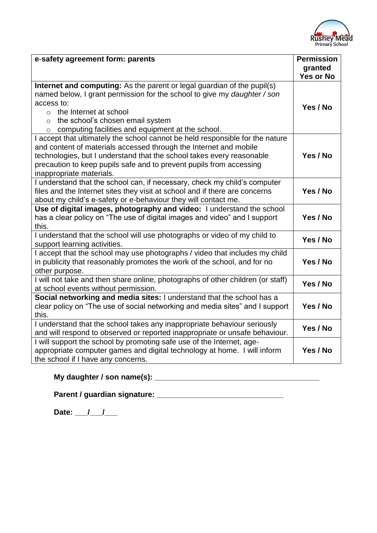

| e-safety agreement form: parents                                                | <b>Permission</b> |
|---------------------------------------------------------------------------------|-------------------|
|                                                                                 | granted           |
|                                                                                 | Yes or No         |
| Internet and computing: As the parent or legal guardian of the pupil(s)         |                   |
| named below, I grant permission for the school to give my daughter / son        |                   |
| access to:                                                                      | Yes / No          |
| $\circ$ the Internet at school                                                  |                   |
| the school's chosen email system<br>$\circ$                                     |                   |
| computing facilities and equipment at the school.<br>$\circ$                    |                   |
| I accept that ultimately the school cannot be held responsible for the nature   |                   |
| and content of materials accessed through the Internet and mobile               |                   |
| technologies, but I understand that the school takes every reasonable           | Yes / No          |
| precaution to keep pupils safe and to prevent pupils from accessing             |                   |
| inappropriate materials.                                                        |                   |
| I understand that the school can, if necessary, check my child's computer       |                   |
| files and the Internet sites they visit at school and if there are concerns     | Yes / No          |
| about my child's e-safety or e-behaviour they will contact me.                  |                   |
| Use of digital images, photography and video: I understand the school           |                   |
| has a clear policy on "The use of digital images and video" and I support       | Yes / No          |
| this.                                                                           |                   |
| I understand that the school will use photographs or video of my child to       | Yes / No          |
| support learning activities.                                                    |                   |
| I accept that the school may use photographs / video that includes my child     |                   |
| in publicity that reasonably promotes the work of the school, and for no        | Yes / No          |
| other purpose.                                                                  |                   |
| I will not take and then share online, photographs of other children (or staff) | Yes / No          |
| at school events without permission.                                            |                   |
| Social networking and media sites: I understand that the school has a           |                   |
| clear policy on "The use of social networking and media sites" and I support    | Yes / No          |
| this.                                                                           |                   |
| I understand that the school takes any inappropriate behaviour seriously        | Yes / No          |
| and will respond to observed or reported inappropriate or unsafe behaviour.     |                   |
| I will support the school by promoting safe use of the Internet, age-           |                   |
| appropriate computer games and digital technology at home. I will inform        | Yes / No          |
| the school if I have any concerns.                                              |                   |

# **My daughter / son name(s): \_\_\_\_\_\_\_\_\_\_\_\_\_\_\_\_\_\_\_\_\_\_\_\_\_\_\_\_\_\_\_\_\_\_\_\_\_\_\_**

**Parent / guardian signature: \_\_\_\_\_\_\_\_\_\_\_\_\_\_\_\_\_\_\_\_\_\_\_\_\_\_\_\_\_\_** 

Date: <u>/ / \_ / \_</u>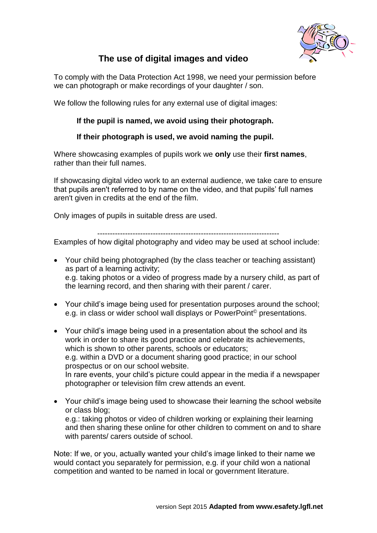

## **The use of digital images and video**

To comply with the Data Protection Act 1998, we need your permission before we can photograph or make recordings of your daughter / son.

We follow the following rules for any external use of digital images:

#### **If the pupil is named, we avoid using their photograph.**

#### **If their photograph is used, we avoid naming the pupil.**

Where showcasing examples of pupils work we **only** use their **first names**, rather than their full names.

If showcasing digital video work to an external audience, we take care to ensure that pupils aren't referred to by name on the video, and that pupils' full names aren't given in credits at the end of the film.

Only images of pupils in suitable dress are used.

------------------------------------------------------------------------

Examples of how digital photography and video may be used at school include:

- Your child being photographed (by the class teacher or teaching assistant) as part of a learning activity; e.g. taking photos or a video of progress made by a nursery child, as part of the learning record, and then sharing with their parent / carer.
- Your child's image being used for presentation purposes around the school; e.g. in class or wider school wall displays or PowerPoint© presentations.
- Your child's image being used in a presentation about the school and its work in order to share its good practice and celebrate its achievements, which is shown to other parents, schools or educators; e.g. within a DVD or a document sharing good practice; in our school prospectus or on our school website. In rare events, your child's picture could appear in the media if a newspaper photographer or television film crew attends an event.
- Your child's image being used to showcase their learning the school website or class blog; e.g.: taking photos or video of children working or explaining their learning and then sharing these online for other children to comment on and to share with parents/ carers outside of school.

Note: If we, or you, actually wanted your child's image linked to their name we would contact you separately for permission, e.g. if your child won a national competition and wanted to be named in local or government literature.